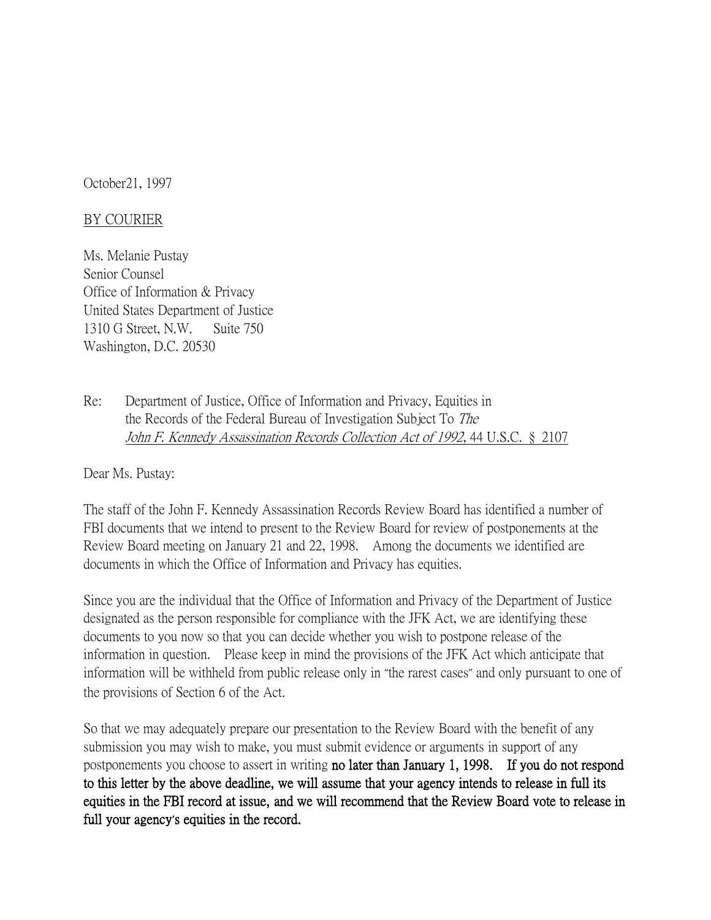October21, 1997

## BY COURIER

Ms. Melanie Pustay Senior Counsel Office of Information & Privacy United States Department of Justice 1310 G Street, N.W. Suite 750 Washington, D.C. 20530

Re: Department of Justice, Office of Information and Privacy, Equities in the Records of the Federal Bureau of Investigation Subject To The John F. Kennedy Assassination Records Collection Act of 1992, 44 U.S.C. § 2107

Dear Ms. Pustay:

The staff of the John F. Kennedy Assassination Records Review Board has identified a number of FBI documents that we intend to present to the Review Board for review of postponements at the Review Board meeting on January 21 and 22, 1998. Among the documents we identified are documents in which the Office of Information and Privacy has equities.

Since you are the individual that the Office of Information and Privacy of the Department of Justice designated as the person responsible for compliance with the JFK Act, we are identifying these documents to you now so that you can decide whether you wish to postpone release of the information in question. Please keep in mind the provisions of the JFK Act which anticipate that information will be withheld from public release only in "the rarest cases" and only pursuant to one of the provisions of Section 6 of the Act.

So that we may adequately prepare our presentation to the Review Board with the benefit of any submission you may wish to make, you must submit evidence or arguments in support of any postponements you choose to assert in writing no later than January 1, 1998. If you do not respond to this letter by the above deadline, we will assume that your agency intends to release in full its equities in the FBI record at issue, and we will recommend that the Review Board vote to release in full your agency**'**s equities in the record.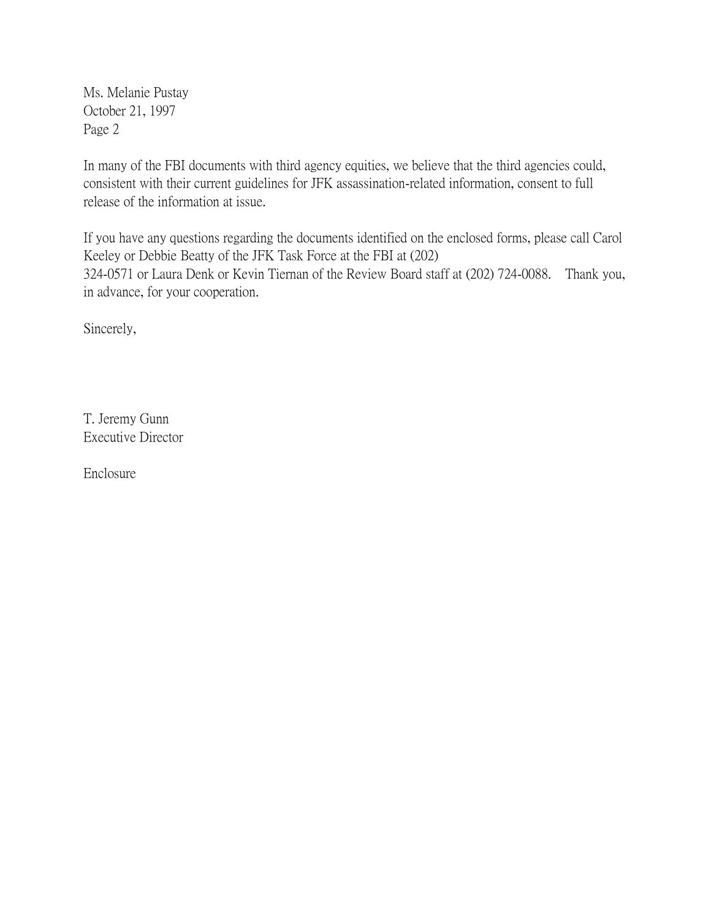Ms. Melanie Pustay October 21, 1997 Page 2

In many of the FBI documents with third agency equities, we believe that the third agencies could, consistent with their current guidelines for JFK assassination-related information, consent to full release of the information at issue.

If you have any questions regarding the documents identified on the enclosed forms, please call Carol Keeley or Debbie Beatty of the JFK Task Force at the FBI at (202) 324-0571 or Laura Denk or Kevin Tiernan of the Review Board staff at (202) 724-0088. Thank you, in advance, for your cooperation.

Sincerely,

T. Jeremy Gunn Executive Director

Enclosure